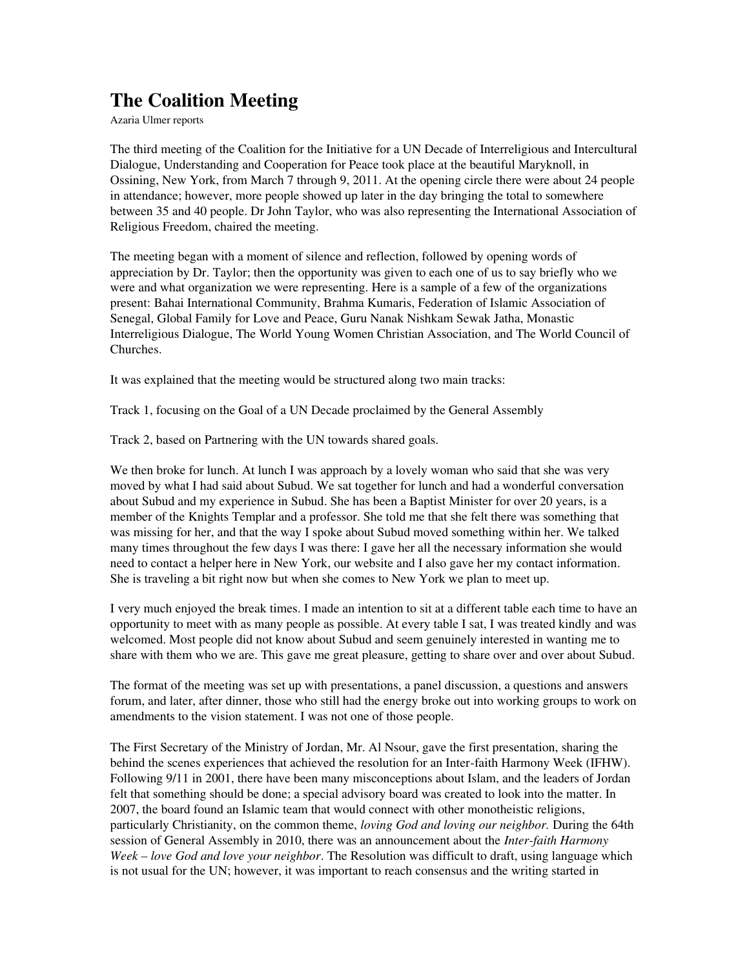## The Coalition Meeting

Azaria Ulmer reports

The third meeting of the Coalition for the Initiative for a UN Decade of Interreligious and Intercultural Dialogue, Understanding and Cooperation for Peace took place at the beautiful Maryknoll, in Ossining, New York, from March 7 through 9, 2011. At the opening circle there were about 24 people in attendance; however, more people showed up later in the day bringing the total to somewhere between 35 and 40 people. Dr John Taylor, who was also representing the International Association of Religious Freedom, chaired the meeting.

The meeting began with a moment of silence and reflection, followed by opening words of appreciation by Dr. Taylor; then the opportunity was given to each one of us to say briefly who we were and what organization we were representing. Here is a sample of a few of the organizations present: Bahai International Community, Brahma Kumaris, Federation of Islamic Association of Senegal, Global Family for Love and Peace, Guru Nanak Nishkam Sewak Jatha, Monastic Interreligious Dialogue, The World Young Women Christian Association, and The World Council of Churches.

It was explained that the meeting would be structured along two main tracks:

Track 1, focusing on the Goal of a UN Decade proclaimed by the General Assembly

Track 2, based on Partnering with the UN towards shared goals.

We then broke for lunch. At lunch I was approach by a lovely woman who said that she was very moved by what I had said about Subud. We sat together for lunch and had a wonderful conversation about Subud and my experience in Subud. She has been a Baptist Minister for over 20 years, is a member of the Knights Templar and a professor. She told me that she felt there was something that was missing for her, and that the way I spoke about Subud moved something within her. We talked many times throughout the few days I was there: I gave her all the necessary information she would need to contact a helper here in New York, our website and I also gave her my contact information. She is traveling a bit right now but when she comes to New York we plan to meet up.

I very much enjoyed the break times. I made an intention to sit at a different table each time to have an opportunity to meet with as many people as possible. At every table I sat, I was treated kindly and was welcomed. Most people did not know about Subud and seem genuinely interested in wanting me to share with them who we are. This gave me great pleasure, getting to share over and over about Subud.

The format of the meeting was set up with presentations, a panel discussion, a questions and answers forum, and later, after dinner, those who still had the energy broke out into working groups to work on amendments to the vision statement. I was not one of those people.

The First Secretary of the Ministry of Jordan, Mr. Al Nsour, gave the first presentation, sharing the behind the scenes experiences that achieved the resolution for an Inter-faith Harmony Week (IFHW). Following 9/11 in 2001, there have been many misconceptions about Islam, and the leaders of Jordan felt that something should be done; a special advisory board was created to look into the matter. In 2007, the board found an Islamic team that would connect with other monotheistic religions, particularly Christianity, on the common theme, *loving God and loving our neighbor.* During the 64th session of General Assembly in 2010, there was an announcement about the *Inter-faith Harmony Week – love God and love your neighbor*. The Resolution was difficult to draft, using language which is not usual for the UN; however, it was important to reach consensus and the writing started in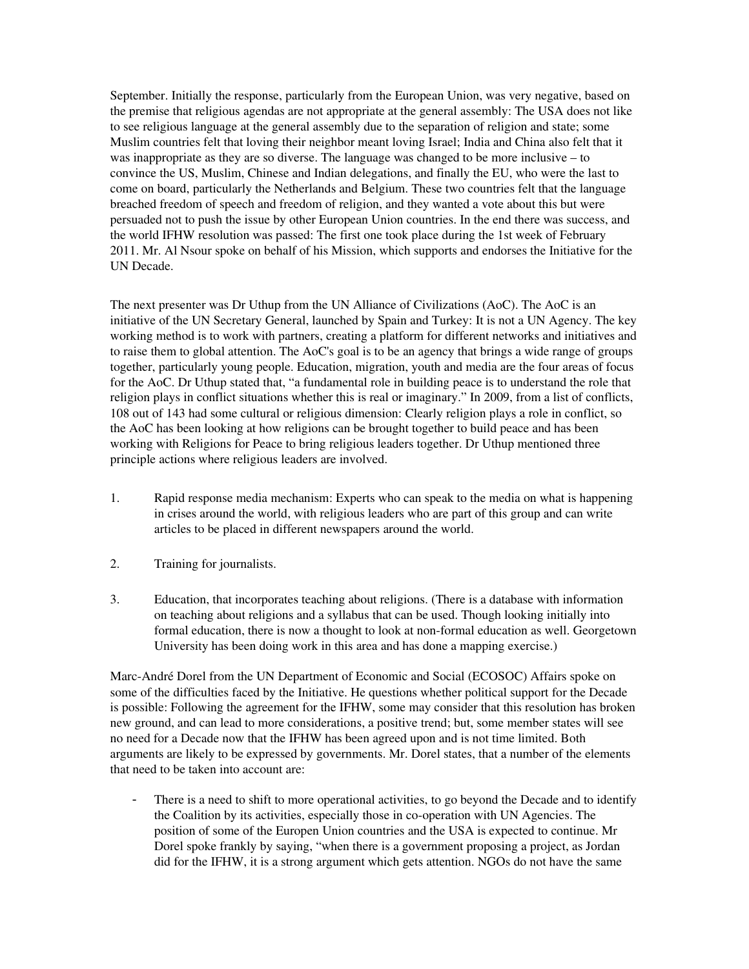September. Initially the response, particularly from the European Union, was very negative, based on the premise that religious agendas are not appropriate at the general assembly: The USA does not like to see religious language at the general assembly due to the separation of religion and state; some Muslim countries felt that loving their neighbor meant loving Israel; India and China also felt that it was inappropriate as they are so diverse. The language was changed to be more inclusive – to convince the US, Muslim, Chinese and Indian delegations, and finally the EU, who were the last to come on board, particularly the Netherlands and Belgium. These two countries felt that the language breached freedom of speech and freedom of religion, and they wanted a vote about this but were persuaded not to push the issue by other European Union countries. In the end there was success, and the world IFHW resolution was passed: The first one took place during the 1st week of February 2011. Mr. Al Nsour spoke on behalf of his Mission, which supports and endorses the Initiative for the UN Decade.

The next presenter was Dr Uthup from the UN Alliance of Civilizations (AoC). The AoC is an initiative of the UN Secretary General, launched by Spain and Turkey: It is not a UN Agency. The key working method is to work with partners, creating a platform for different networks and initiatives and to raise them to global attention. The AoC's goal is to be an agency that brings a wide range of groups together, particularly young people. Education, migration, youth and media are the four areas of focus for the AoC. Dr Uthup stated that, "a fundamental role in building peace is to understand the role that religion plays in conflict situations whether this is real or imaginary." In 2009, from a list of conflicts, 108 out of 143 had some cultural or religious dimension: Clearly religion plays a role in conflict, so the AoC has been looking at how religions can be brought together to build peace and has been working with Religions for Peace to bring religious leaders together. Dr Uthup mentioned three principle actions where religious leaders are involved.

- 1. Rapid response media mechanism: Experts who can speak to the media on what is happening in crises around the world, with religious leaders who are part of this group and can write articles to be placed in different newspapers around the world.
- 2. Training for journalists.
- 3. Education, that incorporates teaching about religions. (There is a database with information on teaching about religions and a syllabus that can be used. Though looking initially into formal education, there is now a thought to look at non-formal education as well. Georgetown University has been doing work in this area and has done a mapping exercise.)

Marc-André Dorel from the UN Department of Economic and Social (ECOSOC) Affairs spoke on some of the difficulties faced by the Initiative. He questions whether political support for the Decade is possible: Following the agreement for the IFHW, some may consider that this resolution has broken new ground, and can lead to more considerations, a positive trend; but, some member states will see no need for a Decade now that the IFHW has been agreed upon and is not time limited. Both arguments are likely to be expressed by governments. Mr. Dorel states, that a number of the elements that need to be taken into account are:

 There is a need to shift to more operational activities, to go beyond the Decade and to identify the Coalition by its activities, especially those in co-operation with UN Agencies. The position of some of the Europen Union countries and the USA is expected to continue. Mr Dorel spoke frankly by saying, "when there is a government proposing a project, as Jordan did for the IFHW, it is a strong argument which gets attention. NGOs do not have the same